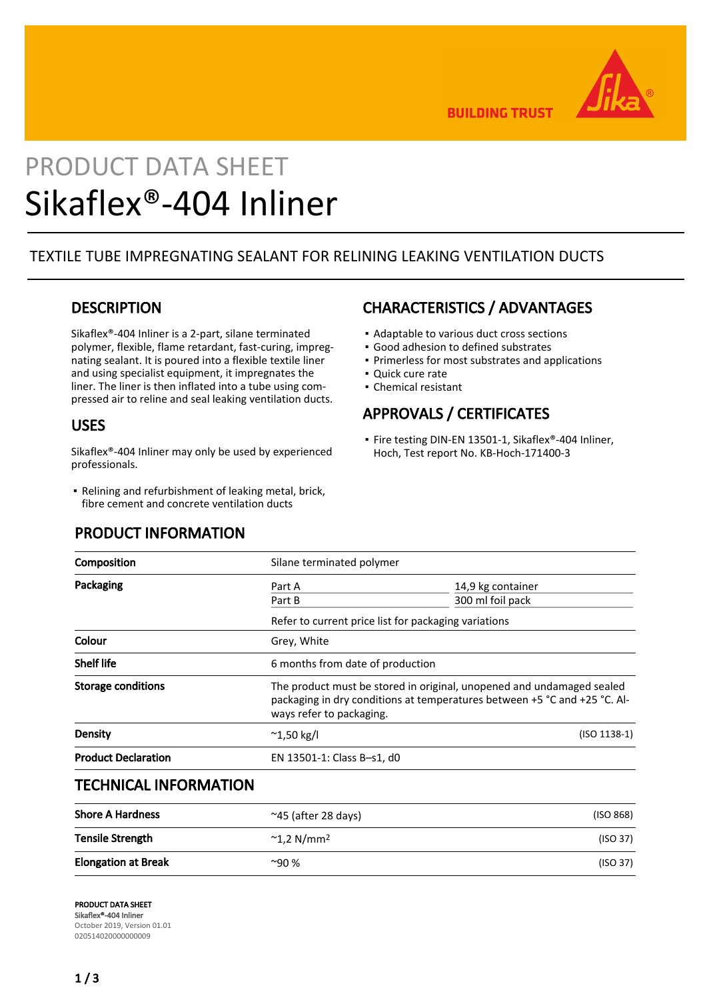

**BUILDING TRUST** 

# PRODUCT DATA SHEET Sikaflex®-404 Inliner

## TEXTILE TUBE IMPREGNATING SEALANT FOR RELINING LEAKING VENTILATION DUCTS

## **DESCRIPTION**

Sikaflex®-404 Inliner is a 2-part, silane terminated polymer, flexible, flame retardant, fast-curing, impregnating sealant. It is poured into a flexible textile liner and using specialist equipment, it impregnates the liner. The liner is then inflated into a tube using compressed air to reline and seal leaking ventilation ducts.

## USES

Sikaflex®-404 Inliner may only be used by experienced professionals.

■ Relining and refurbishment of leaking metal, brick, fibre cement and concrete ventilation ducts

## PRODUCT INFORMATION

## CHARACTERISTICS / ADVANTAGES

- Adaptable to various duct cross sections
- Good adhesion to defined substrates
- Primerless for most substrates and applications
- Quick cure rate
- Chemical resistant

## APPROVALS / CERTIFICATES

■ Fire testing DIN-EN 13501-1, Sikaflex®-404 Inliner, Hoch, Test report No. KB-Hoch-171400-3

| Composition                | Silane terminated polymer                                                                                                                                                      |                                       |  |
|----------------------------|--------------------------------------------------------------------------------------------------------------------------------------------------------------------------------|---------------------------------------|--|
| Packaging                  | Part A<br>Part B                                                                                                                                                               | 14,9 kg container<br>300 ml foil pack |  |
|                            | Refer to current price list for packaging variations                                                                                                                           |                                       |  |
| Colour                     | Grey, White                                                                                                                                                                    |                                       |  |
| <b>Shelf life</b>          | 6 months from date of production                                                                                                                                               |                                       |  |
| <b>Storage conditions</b>  | The product must be stored in original, unopened and undamaged sealed<br>packaging in dry conditions at temperatures between +5 °C and +25 °C. Al-<br>ways refer to packaging. |                                       |  |
| Density                    | $^{\sim}$ 1,50 kg/l                                                                                                                                                            | $(ISO 1138-1)$                        |  |
| <b>Product Declaration</b> | EN 13501-1: Class B-s1, d0                                                                                                                                                     |                                       |  |
|                            |                                                                                                                                                                                |                                       |  |

## TECHNICAL INFORMATION

| <b>Shore A Hardness</b>    | $\approx$ 45 (after 28 days)    | (ISO 868) |
|----------------------------|---------------------------------|-----------|
| <b>Tensile Strength</b>    | $^{\sim}$ 1,2 N/mm <sup>2</sup> | (ISO 37)  |
| <b>Elongation at Break</b> | $~90\%$                         | (ISO 37)  |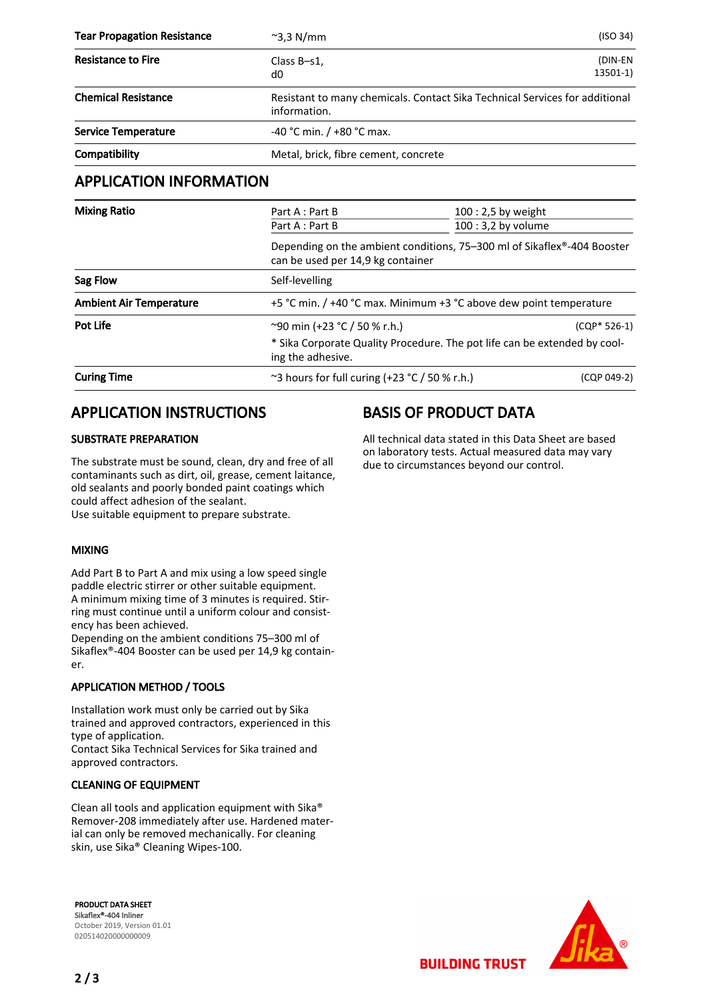| <b>Tear Propagation Resistance</b> | $\sim$ 3,3 N/mm                                                                                              | (ISO 34)              |  |
|------------------------------------|--------------------------------------------------------------------------------------------------------------|-----------------------|--|
| <b>Resistance to Fire</b>          | Class B-s1,<br>d0                                                                                            | (DIN-EN<br>$13501-1)$ |  |
| <b>Chemical Resistance</b>         | Resistant to many chemicals. Contact Sika Technical Services for additional<br>information.                  |                       |  |
| <b>Service Temperature</b>         | $-40$ °C min. / $+80$ °C max.                                                                                |                       |  |
| Compatibility                      | Metal, brick, fibre cement, concrete                                                                         |                       |  |
| <b>APPLICATION INFORMATION</b>     |                                                                                                              |                       |  |
| <b>Mixing Ratio</b>                | Part A : Part B                                                                                              | 100 : 2,5 by weight   |  |
|                                    | Part A : Part B                                                                                              | $100:3,2$ by volume   |  |
|                                    | Depending on the ambient conditions, 75–300 ml of Sikaflex®-404 Booster<br>can be used per 14,9 kg container |                       |  |
| Sag Flow                           | Self-levelling                                                                                               |                       |  |
| <b>Ambient Air Temperature</b>     | +5 °C min. / +40 °C max. Minimum +3 °C above dew point temperature                                           |                       |  |
| Pot Life                           | ~90 min (+23 °C / 50 % r.h.)                                                                                 | $(CQP*526-1)$         |  |
|                                    | * Sika Corporate Quality Procedure. The pot life can be extended by cool-<br>ing the adhesive.               |                       |  |

**Curing Time**  $\sim$ 3 hours for full curing  $(+23 \degree C / 50 \% r.h.)$  (CQP 049-2)

## APPLICATION INSTRUCTIONS

#### SUBSTRATE PREPARATION

The substrate must be sound, clean, dry and free of all contaminants such as dirt, oil, grease, cement laitance, old sealants and poorly bonded paint coatings which could affect adhesion of the sealant. Use suitable equipment to prepare substrate.

#### MIXING

Add Part B to Part A and mix using a low speed single paddle electric stirrer or other suitable equipment. A minimum mixing time of 3 minutes is required. Stirring must continue until a uniform colour and consistency has been achieved.

Depending on the ambient conditions 75–300 ml of Sikaflex®-404 Booster can be used per 14,9 kg container.

#### APPLICATION METHOD / TOOLS

Installation work must only be carried out by Sika trained and approved contractors, experienced in this type of application.

Contact Sika Technical Services for Sika trained and approved contractors.

#### CLEANING OF EQUIPMENT

Clean all tools and application equipment with Sika® Remover-208 immediately after use. Hardened material can only be removed mechanically. For cleaning skin, use Sika® Cleaning Wipes-100.

PRODUCT DATA SHEET Sikaflex®-404 Inliner October 2019, Version 01.01 020514020000000009

## BASIS OF PRODUCT DATA

All technical data stated in this Data Sheet are based on laboratory tests. Actual measured data may vary due to circumstances beyond our control.

**BUILDING TRUST**